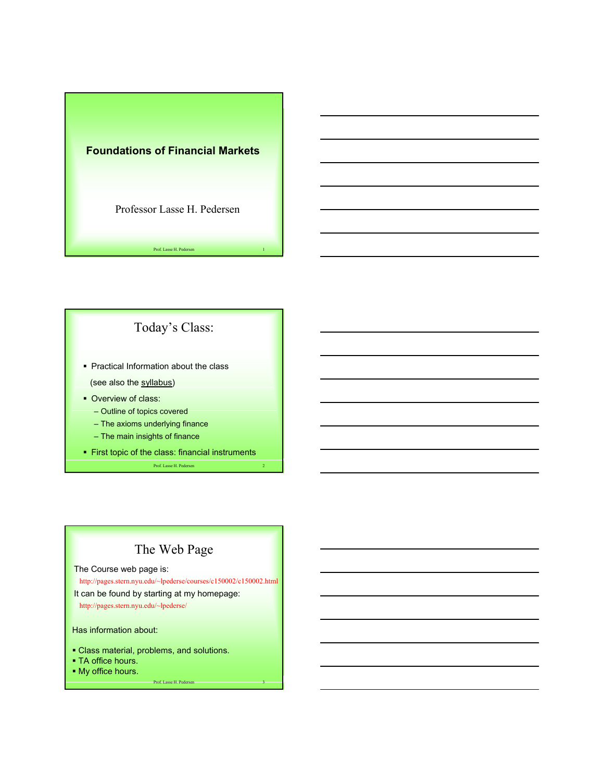



## The Web Page

The Course web page is:

http://pages.stern.nyu.edu/~lpederse/courses/c150002/c150002.html

It can be found by starting at my homepage:

http://pages.stern.nyu.edu/~lpederse/

Has information about:

- Class material, problems, and solutions.
- TA office hours.
- My office hours.

Prof. Lasse H. Pedersen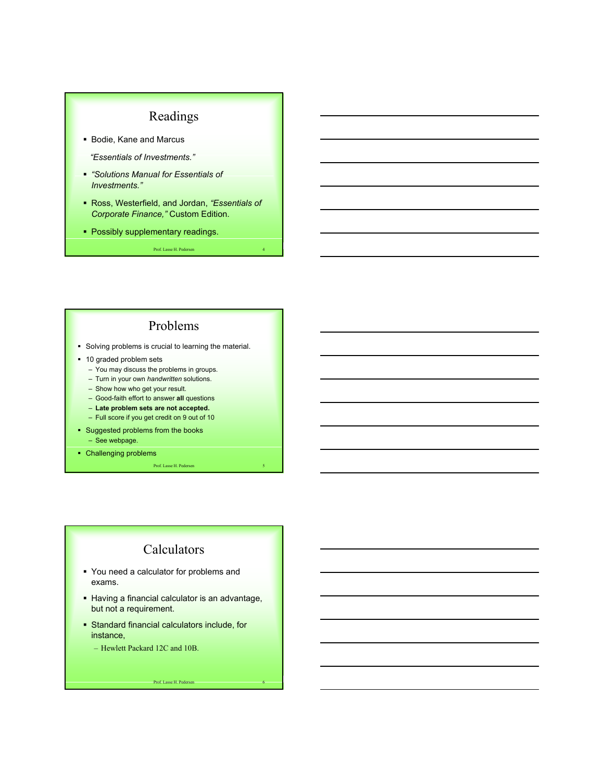## Readings

Bodie, Kane and Marcus

*"Essentials of Investments."*

- *"Solutions Manual for Essentials of Investments."*
- Ross, Westerfield, and Jordan, *"Essentials of Corporate Finance,"* Custom Edition.
- **Possibly supplementary readings.**

Prof. Lasse H. Pedersen

#### Problems

- **Solving problems is crucial to learning the material.**
- **10 graded problem sets** 
	- You may discuss the problems in groups.
	- Turn in your own *handwritten* solutions.
	- Show how who get your result.
	- Good-faith effort to answer **all** questions
	- **Late problem sets are not accepted.**
	- Full score if you get credit on 9 out of 10
- **Suggested problems from the books** 
	- See webpage.
- Challenging problems

Prof. Lasse H. Pedersen 5

### Calculators

- You need a calculator for problems and exams.
- **Having a financial calculator is an advantage,** but not a requirement.
- Standard financial calculators include, for instance,
	- Hewlett Packard 12C and 10B.

Prof. Lasse H. Pedersen 6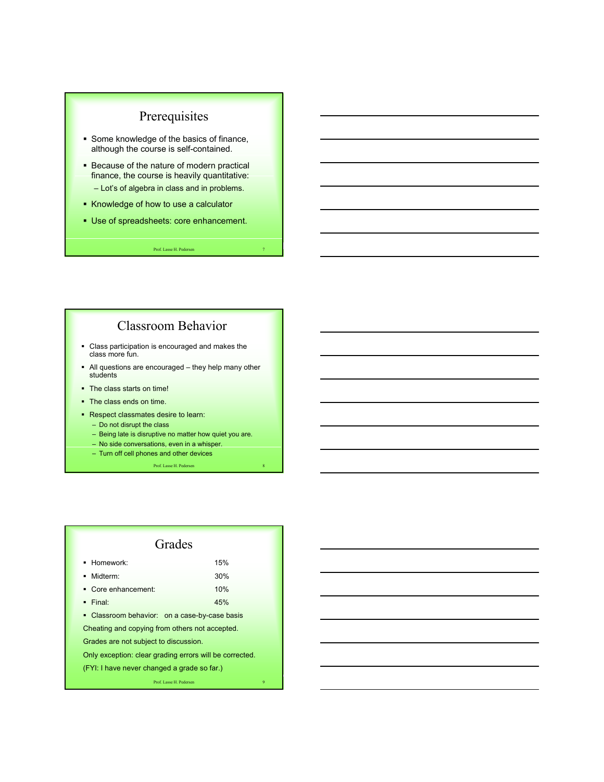## Prerequisites

- **Some knowledge of the basics of finance,** although the course is self-contained.
- **Because of the nature of modern practical** finance, the course is heavily quantitative: – Lot's of algebra in class and in problems.
- Knowledge of how to use a calculator
- Use of spreadsheets: core enhancement.

#### Prof. Lasse H. Pedersen

#### Classroom Behavior

- Class participation is encouraged and makes the class more fun.
- All questions are encouraged they help many other students
- The class starts on time!
- The class ends on time.
- Respect classmates desire to learn:
	- Do not disrupt the class
	- Being late is disruptive no matter how quiet you are.
	- No side conversations, even in a whisper.
	- Turn off cell phones and other devices

Prof. Lasse H. Pedersen

#### Grades Homework: 15% Midterm: 30% Core enhancement: 10% Final: 45% • Classroom behavior: on a case-by-case basis Cheating and copying from others not accepted. Grades are not subject to discussion. Only exception: clear grading errors will be corrected. (FYI: I have never changed a grade so far.)

Prof. Lasse H. Pedersen